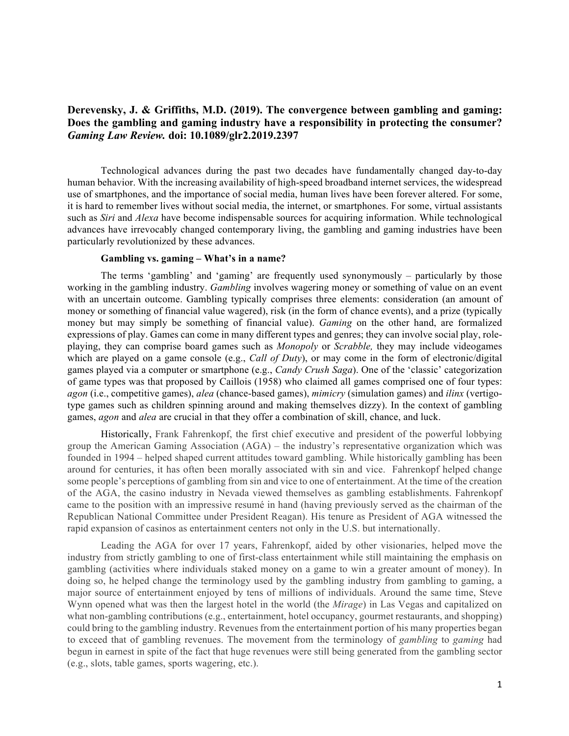# **Derevensky, J. & Griffiths, M.D. (2019). The convergence between gambling and gaming: Does the gambling and gaming industry have a responsibility in protecting the consumer?**  *Gaming Law Review.* **doi: 10.1089/glr2.2019.2397**

Technological advances during the past two decades have fundamentally changed day-to-day human behavior. With the increasing availability of high-speed broadband internet services, the widespread use of smartphones, and the importance of social media, human lives have been forever altered. For some, it is hard to remember lives without social media, the internet, or smartphones. For some, virtual assistants such as *Siri* and *Alexa* have become indispensable sources for acquiring information. While technological advances have irrevocably changed contemporary living, the gambling and gaming industries have been particularly revolutionized by these advances.

#### **Gambling vs. gaming – What's in a name?**

The terms 'gambling' and 'gaming' are frequently used synonymously – particularly by those working in the gambling industry. *Gambling* involves wagering money or something of value on an event with an uncertain outcome. Gambling typically comprises three elements: consideration (an amount of money or something of financial value wagered), risk (in the form of chance events), and a prize (typically money but may simply be something of financial value). *Gaming* on the other hand, are formalized expressions of play. Games can come in many different types and genres; they can involve social play, roleplaying, they can comprise board games such as *Monopoly* or *Scrabble,* they may include videogames which are played on a game console (e.g., *Call of Duty*), or may come in the form of electronic/digital games played via a computer or smartphone (e.g., *Candy Crush Saga*). One of the 'classic' categorization of game types was that proposed by Caillois (1958) who claimed all games comprised one of four types: *agon* (i.e., competitive games), *alea* (chance-based games), *mimicry* (simulation games) and *ilinx* (vertigotype games such as children spinning around and making themselves dizzy). In the context of gambling games, *agon* and *alea* are crucial in that they offer a combination of skill, chance, and luck.

Historically, Frank Fahrenkopf, the first chief executive and president of the powerful lobbying group the American Gaming Association (AGA) – the industry's representative organization which was founded in 1994 – helped shaped current attitudes toward gambling. While historically gambling has been around for centuries, it has often been morally associated with sin and vice. Fahrenkopf helped change some people's perceptions of gambling from sin and vice to one of entertainment. At the time of the creation of the AGA, the casino industry in Nevada viewed themselves as gambling establishments. Fahrenkopf came to the position with an impressive resumé in hand (having previously served as the chairman of the Republican National Committee under President Reagan). His tenure as President of AGA witnessed the rapid expansion of casinos as entertainment centers not only in the U.S. but internationally.

Leading the AGA for over 17 years, Fahrenkopf, aided by other visionaries, helped move the industry from strictly gambling to one of first-class entertainment while still maintaining the emphasis on gambling (activities where individuals staked money on a game to win a greater amount of money). In doing so, he helped change the terminology used by the gambling industry from gambling to gaming, a major source of entertainment enjoyed by tens of millions of individuals. Around the same time, Steve Wynn opened what was then the largest hotel in the world (the *Mirage*) in Las Vegas and capitalized on what non-gambling contributions (e.g., entertainment, hotel occupancy, gourmet restaurants, and shopping) could bring to the gambling industry. Revenues from the entertainment portion of his many properties began to exceed that of gambling revenues. The movement from the terminology of *gambling* to *gaming* had begun in earnest in spite of the fact that huge revenues were still being generated from the gambling sector (e.g., slots, table games, sports wagering, etc.).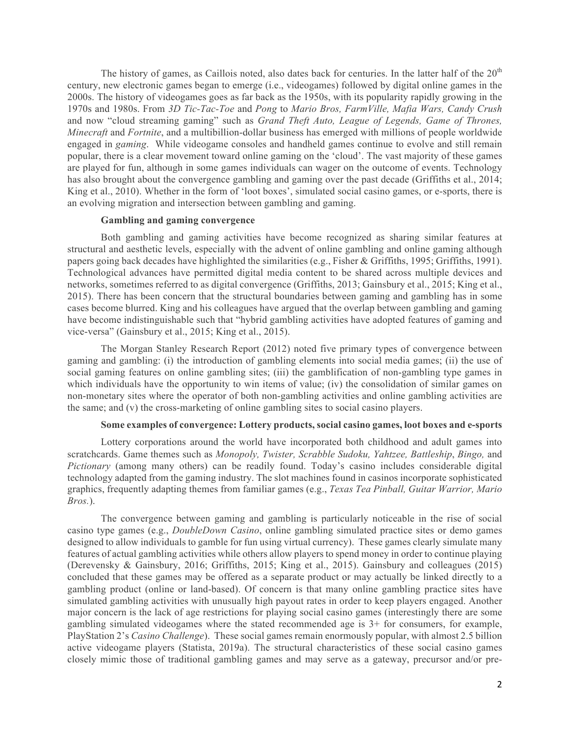The history of games, as Caillois noted, also dates back for centuries. In the latter half of the  $20<sup>th</sup>$ century, new electronic games began to emerge (i.e., videogames) followed by digital online games in the 2000s. The history of videogames goes as far back as the 1950s, with its popularity rapidly growing in the 1970s and 1980s. From *3D Tic-Tac-Toe* and *Pong* to *Mario Bros, FarmVille, Mafia Wars, Candy Crush* and now "cloud streaming gaming" such as *Grand Theft Auto, League of Legends, Game of Thrones, Minecraft* and *Fortnite*, and a multibillion-dollar business has emerged with millions of people worldwide engaged in *gaming*. While videogame consoles and handheld games continue to evolve and still remain popular, there is a clear movement toward online gaming on the 'cloud'. The vast majority of these games are played for fun, although in some games individuals can wager on the outcome of events. Technology has also brought about the convergence gambling and gaming over the past decade (Griffiths et al., 2014; King et al., 2010). Whether in the form of 'loot boxes', simulated social casino games, or e-sports, there is an evolving migration and intersection between gambling and gaming.

### **Gambling and gaming convergence**

Both gambling and gaming activities have become recognized as sharing similar features at structural and aesthetic levels, especially with the advent of online gambling and online gaming although papers going back decades have highlighted the similarities (e.g., Fisher & Griffiths, 1995; Griffiths, 1991). Technological advances have permitted digital media content to be shared across multiple devices and networks, sometimes referred to as digital convergence (Griffiths, 2013; Gainsbury et al., 2015; King et al., 2015). There has been concern that the structural boundaries between gaming and gambling has in some cases become blurred. King and his colleagues have argued that the overlap between gambling and gaming have become indistinguishable such that "hybrid gambling activities have adopted features of gaming and vice-versa" (Gainsbury et al., 2015; King et al., 2015).

The Morgan Stanley Research Report (2012) noted five primary types of convergence between gaming and gambling: (i) the introduction of gambling elements into social media games; (ii) the use of social gaming features on online gambling sites; (iii) the gamblification of non-gambling type games in which individuals have the opportunity to win items of value; (iv) the consolidation of similar games on non-monetary sites where the operator of both non-gambling activities and online gambling activities are the same; and (v) the cross-marketing of online gambling sites to social casino players.

#### **Some examples of convergence: Lottery products, social casino games, loot boxes and e-sports**

Lottery corporations around the world have incorporated both childhood and adult games into scratchcards. Game themes such as *Monopoly, Twister, Scrabble Sudoku, Yahtzee, Battleship*, *Bingo,* and *Pictionary* (among many others) can be readily found. Today's casino includes considerable digital technology adapted from the gaming industry. The slot machines found in casinos incorporate sophisticated graphics, frequently adapting themes from familiar games (e.g., *Texas Tea Pinball, Guitar Warrior, Mario Bros.*).

The convergence between gaming and gambling is particularly noticeable in the rise of social casino type games (e.g., *DoubleDown Casino*, online gambling simulated practice sites or demo games designed to allow individuals to gamble for fun using virtual currency). These games clearly simulate many features of actual gambling activities while others allow players to spend money in order to continue playing (Derevensky & Gainsbury, 2016; Griffiths, 2015; King et al., 2015). Gainsbury and colleagues (2015) concluded that these games may be offered as a separate product or may actually be linked directly to a gambling product (online or land-based). Of concern is that many online gambling practice sites have simulated gambling activities with unusually high payout rates in order to keep players engaged. Another major concern is the lack of age restrictions for playing social casino games (interestingly there are some gambling simulated videogames where the stated recommended age is 3+ for consumers, for example, PlayStation 2's *Casino Challenge*). These social games remain enormously popular, with almost 2.5 billion active videogame players (Statista, 2019a). The structural characteristics of these social casino games closely mimic those of traditional gambling games and may serve as a gateway, precursor and/or pre-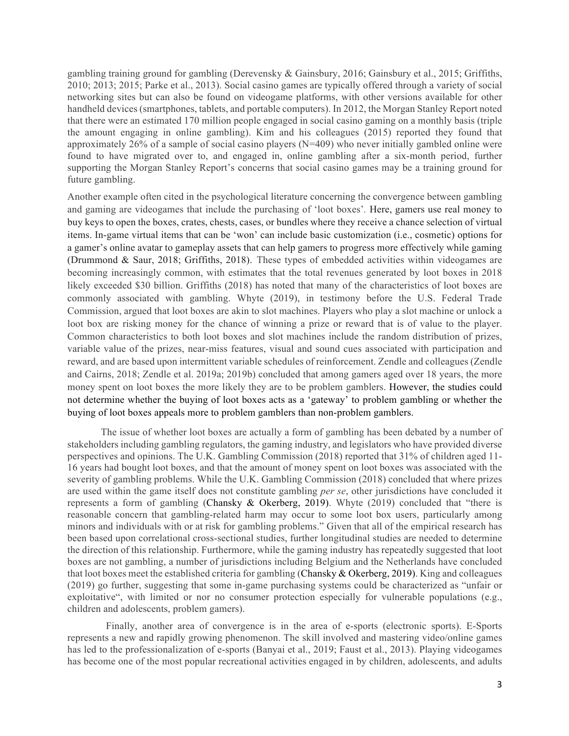gambling training ground for gambling (Derevensky & Gainsbury, 2016; Gainsbury et al., 2015; Griffiths, 2010; 2013; 2015; Parke et al., 2013). Social casino games are typically offered through a variety of social networking sites but can also be found on videogame platforms, with other versions available for other handheld devices (smartphones, tablets, and portable computers). In 2012, the Morgan Stanley Report noted that there were an estimated 170 million people engaged in social casino gaming on a monthly basis (triple the amount engaging in online gambling). Kim and his colleagues (2015) reported they found that approximately 26% of a sample of social casino players (N=409) who never initially gambled online were found to have migrated over to, and engaged in, online gambling after a six-month period, further supporting the Morgan Stanley Report's concerns that social casino games may be a training ground for future gambling.

Another example often cited in the psychological literature concerning the convergence between gambling and gaming are videogames that include the purchasing of 'loot boxes'*.* Here, gamers use real money to buy keys to open the boxes, crates, chests, cases, or bundles where they receive a chance selection of virtual items. In-game virtual items that can be 'won' can include basic customization (i.e., cosmetic) options for a gamer's online avatar to gameplay assets that can help gamers to progress more effectively while gaming (Drummond & Saur, 2018; Griffiths, 2018). These types of embedded activities within videogames are becoming increasingly common, with estimates that the total revenues generated by loot boxes in 2018 likely exceeded \$30 billion. Griffiths (2018) has noted that many of the characteristics of loot boxes are commonly associated with gambling. Whyte (2019), in testimony before the U.S. Federal Trade Commission, argued that loot boxes are akin to slot machines. Players who play a slot machine or unlock a loot box are risking money for the chance of winning a prize or reward that is of value to the player. Common characteristics to both loot boxes and slot machines include the random distribution of prizes, variable value of the prizes, near-miss features, visual and sound cues associated with participation and reward, and are based upon intermittent variable schedules of reinforcement. Zendle and colleagues (Zendle and Cairns, 2018; Zendle et al. 2019a; 2019b) concluded that among gamers aged over 18 years, the more money spent on loot boxes the more likely they are to be problem gamblers. However, the studies could not determine whether the buying of loot boxes acts as a 'gateway' to problem gambling or whether the buying of loot boxes appeals more to problem gamblers than non-problem gamblers.

The issue of whether loot boxes are actually a form of gambling has been debated by a number of stakeholders including gambling regulators, the gaming industry, and legislators who have provided diverse perspectives and opinions. The U.K. Gambling Commission (2018) reported that 31% of children aged 11- 16 years had bought loot boxes, and that the amount of money spent on loot boxes was associated with the severity of gambling problems. While the U.K. Gambling Commission (2018) concluded that where prizes are used within the game itself does not constitute gambling *per se*, other jurisdictions have concluded it represents a form of gambling (Chansky & Okerberg, 2019). Whyte (2019) concluded that "there is reasonable concern that gambling-related harm may occur to some loot box users, particularly among minors and individuals with or at risk for gambling problems." Given that all of the empirical research has been based upon correlational cross-sectional studies, further longitudinal studies are needed to determine the direction of this relationship. Furthermore, while the gaming industry has repeatedly suggested that loot boxes are not gambling, a number of jurisdictions including Belgium and the Netherlands have concluded that loot boxes meet the established criteria for gambling (Chansky & Okerberg, 2019). King and colleagues (2019) go further, suggesting that some in-game purchasing systems could be characterized as "unfair or exploitative", with limited or nor no consumer protection especially for vulnerable populations (e.g., children and adolescents, problem gamers).

 Finally, another area of convergence is in the area of e-sports (electronic sports). E-Sports represents a new and rapidly growing phenomenon. The skill involved and mastering video/online games has led to the professionalization of e-sports (Banyai et al., 2019; Faust et al., 2013). Playing videogames has become one of the most popular recreational activities engaged in by children, adolescents, and adults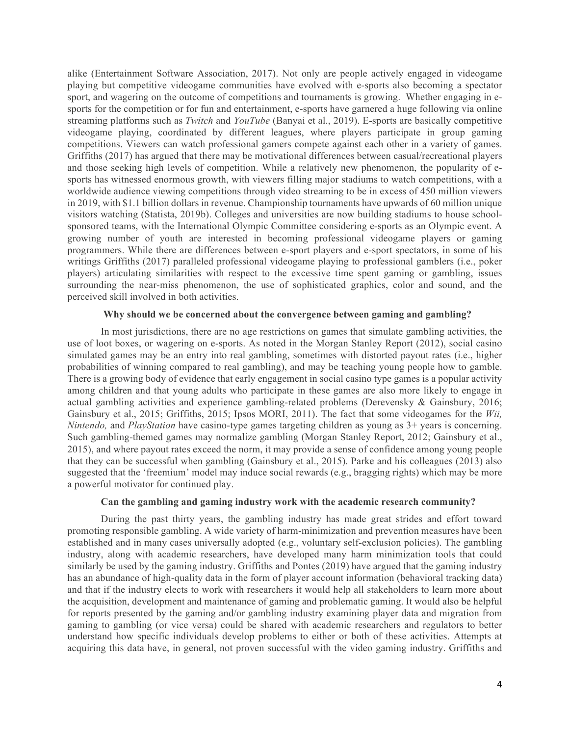alike (Entertainment Software Association, 2017). Not only are people actively engaged in videogame playing but competitive videogame communities have evolved with e-sports also becoming a spectator sport, and wagering on the outcome of competitions and tournaments is growing. Whether engaging in esports for the competition or for fun and entertainment, e-sports have garnered a huge following via online streaming platforms such as *Twitch* and *YouTube* (Banyai et al., 2019). E-sports are basically competitive videogame playing, coordinated by different leagues, where players participate in group gaming competitions. Viewers can watch professional gamers compete against each other in a variety of games. Griffiths (2017) has argued that there may be motivational differences between casual/recreational players and those seeking high levels of competition. While a relatively new phenomenon, the popularity of esports has witnessed enormous growth, with viewers filling major stadiums to watch competitions, with a worldwide audience viewing competitions through video streaming to be in excess of 450 million viewers in 2019, with \$1.1 billion dollars in revenue. Championship tournaments have upwards of 60 million unique visitors watching (Statista, 2019b). Colleges and universities are now building stadiums to house schoolsponsored teams, with the International Olympic Committee considering e-sports as an Olympic event. A growing number of youth are interested in becoming professional videogame players or gaming programmers. While there are differences between e-sport players and e-sport spectators, in some of his writings Griffiths (2017) paralleled professional videogame playing to professional gamblers (i.e., poker players) articulating similarities with respect to the excessive time spent gaming or gambling, issues surrounding the near-miss phenomenon, the use of sophisticated graphics, color and sound, and the perceived skill involved in both activities.

#### **Why should we be concerned about the convergence between gaming and gambling?**

In most jurisdictions, there are no age restrictions on games that simulate gambling activities, the use of loot boxes, or wagering on e-sports. As noted in the Morgan Stanley Report (2012), social casino simulated games may be an entry into real gambling, sometimes with distorted payout rates (i.e., higher probabilities of winning compared to real gambling), and may be teaching young people how to gamble. There is a growing body of evidence that early engagement in social casino type games is a popular activity among children and that young adults who participate in these games are also more likely to engage in actual gambling activities and experience gambling-related problems (Derevensky & Gainsbury, 2016; Gainsbury et al., 2015; Griffiths, 2015; Ipsos MORI, 2011). The fact that some videogames for the *Wii, Nintendo,* and *PlayStation* have casino-type games targeting children as young as 3+ years is concerning. Such gambling-themed games may normalize gambling (Morgan Stanley Report, 2012; Gainsbury et al., 2015), and where payout rates exceed the norm, it may provide a sense of confidence among young people that they can be successful when gambling (Gainsbury et al., 2015). Parke and his colleagues (2013) also suggested that the 'freemium' model may induce social rewards (e.g., bragging rights) which may be more a powerful motivator for continued play.

# **Can the gambling and gaming industry work with the academic research community?**

During the past thirty years, the gambling industry has made great strides and effort toward promoting responsible gambling. A wide variety of harm-minimization and prevention measures have been established and in many cases universally adopted (e.g., voluntary self-exclusion policies). The gambling industry, along with academic researchers, have developed many harm minimization tools that could similarly be used by the gaming industry. Griffiths and Pontes (2019) have argued that the gaming industry has an abundance of high-quality data in the form of player account information (behavioral tracking data) and that if the industry elects to work with researchers it would help all stakeholders to learn more about the acquisition, development and maintenance of gaming and problematic gaming. It would also be helpful for reports presented by the gaming and/or gambling industry examining player data and migration from gaming to gambling (or vice versa) could be shared with academic researchers and regulators to better understand how specific individuals develop problems to either or both of these activities. Attempts at acquiring this data have, in general, not proven successful with the video gaming industry. Griffiths and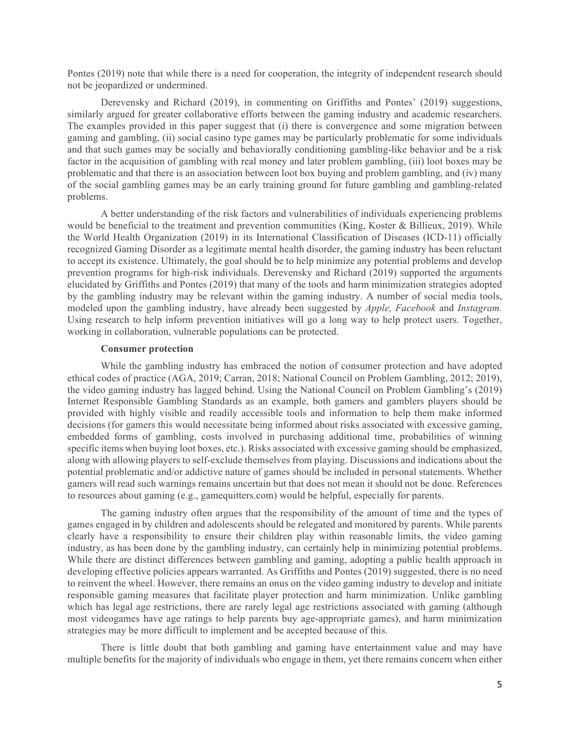Pontes (2019) note that while there is a need for cooperation, the integrity of independent research should not be jeopardized or undermined.

Derevensky and Richard (2019), in commenting on Griffiths and Pontes' (2019) suggestions, similarly argued for greater collaborative efforts between the gaming industry and academic researchers. The examples provided in this paper suggest that (i) there is convergence and some migration between gaming and gambling, (ii) social casino type games may be particularly problematic for some individuals and that such games may be socially and behaviorally conditioning gambling-like behavior and be a risk factor in the acquisition of gambling with real money and later problem gambling, (iii) loot boxes may be problematic and that there is an association between loot box buying and problem gambling, and (iv) many of the social gambling games may be an early training ground for future gambling and gambling-related problems.

A better understanding of the risk factors and vulnerabilities of individuals experiencing problems would be beneficial to the treatment and prevention communities (King, Koster & Billieux, 2019). While the World Health Organization (2019) in its International Classification of Diseases (ICD-11) officially recognized Gaming Disorder as a legitimate mental health disorder, the gaming industry has been reluctant to accept its existence. Ultimately, the goal should be to help minimize any potential problems and develop prevention programs for high-risk individuals. Derevensky and Richard (2019) supported the arguments elucidated by Griffiths and Pontes (2019) that many of the tools and harm minimization strategies adopted by the gambling industry may be relevant within the gaming industry. A number of social media tools, modeled upon the gambling industry, have already been suggested by *Apple, Facebook* and *Instagram.*  Using research to help inform prevention initiatives will go a long way to help protect users. Together, working in collaboration, vulnerable populations can be protected.

### **Consumer protection**

While the gambling industry has embraced the notion of consumer protection and have adopted ethical codes of practice (AGA, 2019; Carran, 2018; National Council on Problem Gambling, 2012; 2019), the video gaming industry has lagged behind. Using the National Council on Problem Gambling's (2019) Internet Responsible Gambling Standards as an example, both gamers and gamblers players should be provided with highly visible and readily accessible tools and information to help them make informed decisions (for gamers this would necessitate being informed about risks associated with excessive gaming, embedded forms of gambling, costs involved in purchasing additional time, probabilities of winning specific items when buying loot boxes, etc.). Risks associated with excessive gaming should be emphasized, along with allowing players to self-exclude themselves from playing. Discussions and indications about the potential problematic and/or addictive nature of games should be included in personal statements. Whether gamers will read such warnings remains uncertain but that does not mean it should not be done. References to resources about gaming (e.g., gamequitters.com) would be helpful, especially for parents.

The gaming industry often argues that the responsibility of the amount of time and the types of games engaged in by children and adolescents should be relegated and monitored by parents. While parents clearly have a responsibility to ensure their children play within reasonable limits, the video gaming industry, as has been done by the gambling industry, can certainly help in minimizing potential problems. While there are distinct differences between gambling and gaming, adopting a public health approach in developing effective policies appears warranted. As Griffiths and Pontes (2019) suggested, there is no need to reinvent the wheel. However, there remains an onus on the video gaming industry to develop and initiate responsible gaming measures that facilitate player protection and harm minimization. Unlike gambling which has legal age restrictions, there are rarely legal age restrictions associated with gaming (although most videogames have age ratings to help parents buy age-appropriate games), and harm minimization strategies may be more difficult to implement and be accepted because of this.

There is little doubt that both gambling and gaming have entertainment value and may have multiple benefits for the majority of individuals who engage in them, yet there remains concern when either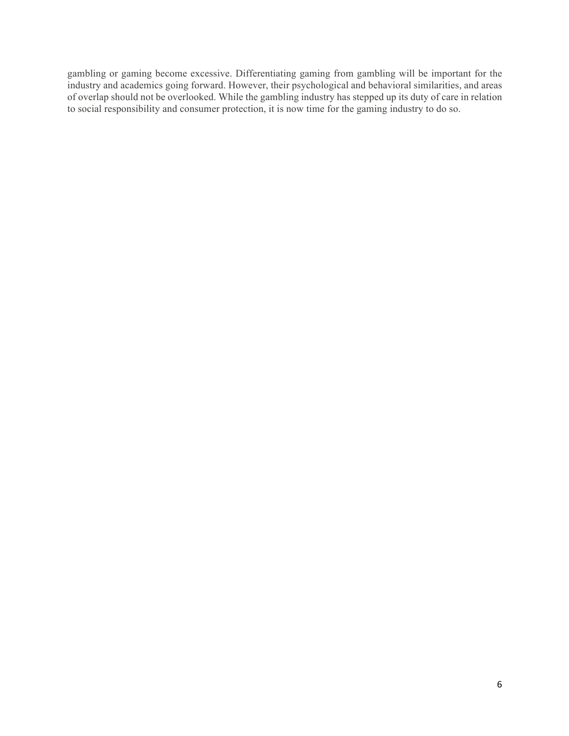gambling or gaming become excessive. Differentiating gaming from gambling will be important for the industry and academics going forward. However, their psychological and behavioral similarities, and areas of overlap should not be overlooked. While the gambling industry has stepped up its duty of care in relation to social responsibility and consumer protection, it is now time for the gaming industry to do so.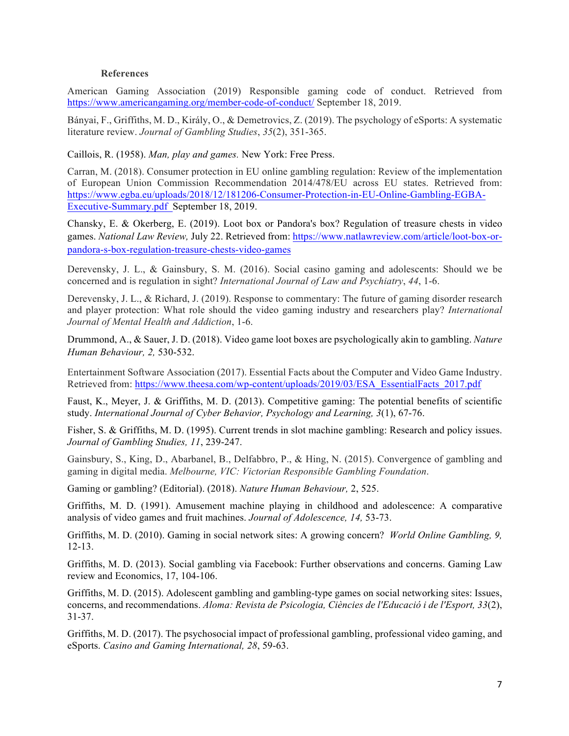## **References**

American Gaming Association (2019) Responsible gaming code of conduct. Retrieved from https://www.americangaming.org/member-code-of-conduct/ September 18, 2019.

Bányai, F., Griffiths, M. D., Király, O., & Demetrovics, Z. (2019). The psychology of eSports: A systematic literature review. *Journal of Gambling Studies*, *35*(2), 351-365.

Caillois, R. (1958). *Man, play and games.* New York: Free Press.

Carran, M. (2018). Consumer protection in EU online gambling regulation: Review of the implementation of European Union Commission Recommendation 2014/478/EU across EU states. Retrieved from: https://www.egba.eu/uploads/2018/12/181206-Consumer-Protection-in-EU-Online-Gambling-EGBA-Executive-Summary.pdf September 18, 2019.

Chansky, E. & Okerberg, E. (2019). Loot box or Pandora's box? Regulation of treasure chests in video games. *National Law Review,* July 22. Retrieved from: https://www.natlawreview.com/article/loot-box-orpandora-s-box-regulation-treasure-chests-video-games

Derevensky, J. L., & Gainsbury, S. M. (2016). Social casino gaming and adolescents: Should we be concerned and is regulation in sight? *International Journal of Law and Psychiatry*, *44*, 1-6.

Derevensky, J. L., & Richard, J. (2019). Response to commentary: The future of gaming disorder research and player protection: What role should the video gaming industry and researchers play? *International Journal of Mental Health and Addiction*, 1-6.

Drummond, A., & Sauer, J. D. (2018). Video game loot boxes are psychologically akin to gambling. *Nature Human Behaviour, 2,* 530-532.

Entertainment Software Association (2017). Essential Facts about the Computer and Video Game Industry. Retrieved from: https://www.theesa.com/wp-content/uploads/2019/03/ESA\_EssentialFacts\_2017.pdf

Faust, K., Meyer, J. & Griffiths, M. D. (2013). Competitive gaming: The potential benefits of scientific study. *International Journal of Cyber Behavior, Psychology and Learning, 3*(1), 67-76.

Fisher, S. & Griffiths, M. D. (1995). Current trends in slot machine gambling: Research and policy issues. *Journal of Gambling Studies, 11*, 239-247.

Gainsbury, S., King, D., Abarbanel, B., Delfabbro, P., & Hing, N. (2015). Convergence of gambling and gaming in digital media. *Melbourne, VIC: Victorian Responsible Gambling Foundation*.

Gaming or gambling? (Editorial). (2018). *Nature Human Behaviour,* 2, 525.

Griffiths, M. D. (1991). Amusement machine playing in childhood and adolescence: A comparative analysis of video games and fruit machines. *Journal of Adolescence, 14,* 53-73.

Griffiths, M. D. (2010). Gaming in social network sites: A growing concern? *World Online Gambling, 9,* 12-13.

Griffiths, M. D. (2013). Social gambling via Facebook: Further observations and concerns. Gaming Law review and Economics, 17, 104-106.

Griffiths, M. D. (2015). Adolescent gambling and gambling-type games on social networking sites: Issues, concerns, and recommendations. *Aloma: Revista de Psicologia, Ciències de l'Educació i de l'Esport, 33*(2), 31-37.

Griffiths, M. D. (2017). The psychosocial impact of professional gambling, professional video gaming, and eSports. *Casino and Gaming International, 28*, 59-63.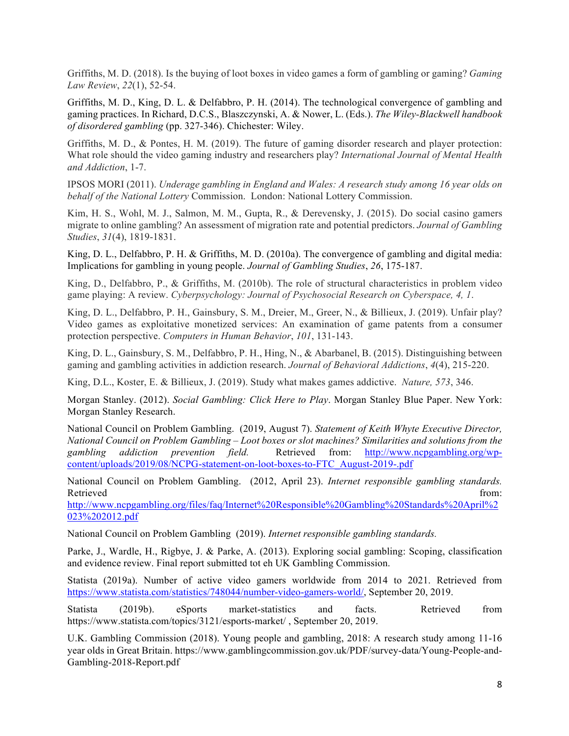Griffiths, M. D. (2018). Is the buying of loot boxes in video games a form of gambling or gaming? *Gaming Law Review*, *22*(1), 52-54.

Griffiths, M. D., King, D. L. & Delfabbro, P. H. (2014). The technological convergence of gambling and gaming practices. In Richard, D.C.S., Blaszczynski, A. & Nower, L. (Eds.). *The Wiley-Blackwell handbook of disordered gambling* (pp. 327-346). Chichester: Wiley.

Griffiths, M. D., & Pontes, H. M. (2019). The future of gaming disorder research and player protection: What role should the video gaming industry and researchers play? *International Journal of Mental Health and Addiction*, 1-7.

IPSOS MORI (2011). *Underage gambling in England and Wales: A research study among 16 year olds on behalf of the National Lottery* Commission. London: National Lottery Commission.

Kim, H. S., Wohl, M. J., Salmon, M. M., Gupta, R., & Derevensky, J. (2015). Do social casino gamers migrate to online gambling? An assessment of migration rate and potential predictors. *Journal of Gambling Studies*, *31*(4), 1819-1831.

King, D. L., Delfabbro, P. H. & Griffiths, M. D. (2010a). The convergence of gambling and digital media: Implications for gambling in young people. *Journal of Gambling Studies*, *26*, 175-187.

King, D., Delfabbro, P., & Griffiths, M. (2010b). The role of structural characteristics in problem video game playing: A review. *Cyberpsychology: Journal of Psychosocial Research on Cyberspace, 4, 1*.

King, D. L., Delfabbro, P. H., Gainsbury, S. M., Dreier, M., Greer, N., & Billieux, J. (2019). Unfair play? Video games as exploitative monetized services: An examination of game patents from a consumer protection perspective. *Computers in Human Behavior*, *101*, 131-143.

King, D. L., Gainsbury, S. M., Delfabbro, P. H., Hing, N., & Abarbanel, B. (2015). Distinguishing between gaming and gambling activities in addiction research. *Journal of Behavioral Addictions*, *4*(4), 215-220.

King, D.L., Koster, E. & Billieux, J. (2019). Study what makes games addictive. *Nature, 573*, 346.

Morgan Stanley. (2012). *Social Gambling: Click Here to Play*. Morgan Stanley Blue Paper. New York: Morgan Stanley Research.

National Council on Problem Gambling. (2019, August 7). *Statement of Keith Whyte Executive Director, National Council on Problem Gambling – Loot boxes or slot machines? Similarities and solutions from the gambling addiction prevention field.* Retrieved from: http://www.ncpgambling.org/wpcontent/uploads/2019/08/NCPG-statement-on-loot-boxes-to-FTC\_August-2019-.pdf

National Council on Problem Gambling. (2012, April 23). *Internet responsible gambling standards.*  Retrieved from: the contract of the contract of the contract of the contract of the contract of the contract of the contract of the contract of the contract of the contract of the contract of the contract of the contract o

http://www.ncpgambling.org/files/faq/Internet%20Responsible%20Gambling%20Standards%20April%2 023%202012.pdf

National Council on Problem Gambling (2019). *Internet responsible gambling standards.* 

Parke, J., Wardle, H., Rigbye, J. & Parke, A. (2013). Exploring social gambling: Scoping, classification and evidence review. Final report submitted tot eh UK Gambling Commission.

Statista (2019a). Number of active video gamers worldwide from 2014 to 2021. Retrieved from https://www.statista.com/statistics/748044/number-video-gamers-world/, September 20, 2019.

Statista (2019b). eSports market-statistics and facts. Retrieved from https://www.statista.com/topics/3121/esports-market/ , September 20, 2019.

U.K. Gambling Commission (2018). Young people and gambling, 2018: A research study among 11-16 year olds in Great Britain. https://www.gamblingcommission.gov.uk/PDF/survey-data/Young-People-and-Gambling-2018-Report.pdf